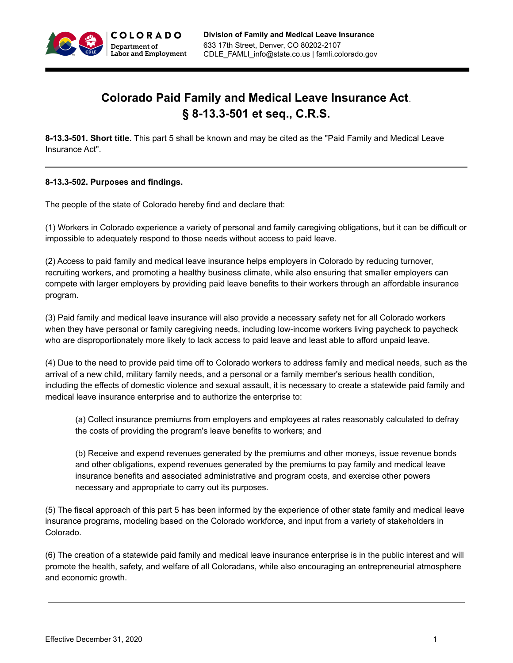

# **Colorado Paid Family and Medical Leave Insurance Act**. **§ 8-13.3-501 et seq., C.R.S.**

**8-13.3-501. Short title.** This part 5 shall be known and may be cited as the "Paid Family and Medical Leave Insurance Act".

#### **8-13.3-502. Purposes and findings.**

The people of the state of Colorado hereby find and declare that:

(1) Workers in Colorado experience a variety of personal and family caregiving obligations, but it can be difficult or impossible to adequately respond to those needs without access to paid leave.

(2) Access to paid family and medical leave insurance helps employers in Colorado by reducing turnover, recruiting workers, and promoting a healthy business climate, while also ensuring that smaller employers can compete with larger employers by providing paid leave benefits to their workers through an affordable insurance program.

(3) Paid family and medical leave insurance will also provide a necessary safety net for all Colorado workers when they have personal or family caregiving needs, including low-income workers living paycheck to paycheck who are disproportionately more likely to lack access to paid leave and least able to afford unpaid leave.

(4) Due to the need to provide paid time off to Colorado workers to address family and medical needs, such as the arrival of a new child, military family needs, and a personal or a family member's serious health condition, including the effects of domestic violence and sexual assault, it is necessary to create a statewide paid family and medical leave insurance enterprise and to authorize the enterprise to:

(a) Collect insurance premiums from employers and employees at rates reasonably calculated to defray the costs of providing the program's leave benefits to workers; and

(b) Receive and expend revenues generated by the premiums and other moneys, issue revenue bonds and other obligations, expend revenues generated by the premiums to pay family and medical leave insurance benefits and associated administrative and program costs, and exercise other powers necessary and appropriate to carry out its purposes.

(5) The fiscal approach of this part 5 has been informed by the experience of other state family and medical leave insurance programs, modeling based on the Colorado workforce, and input from a variety of stakeholders in Colorado.

(6) The creation of a statewide paid family and medical leave insurance enterprise is in the public interest and will promote the health, safety, and welfare of all Coloradans, while also encouraging an entrepreneurial atmosphere and economic growth.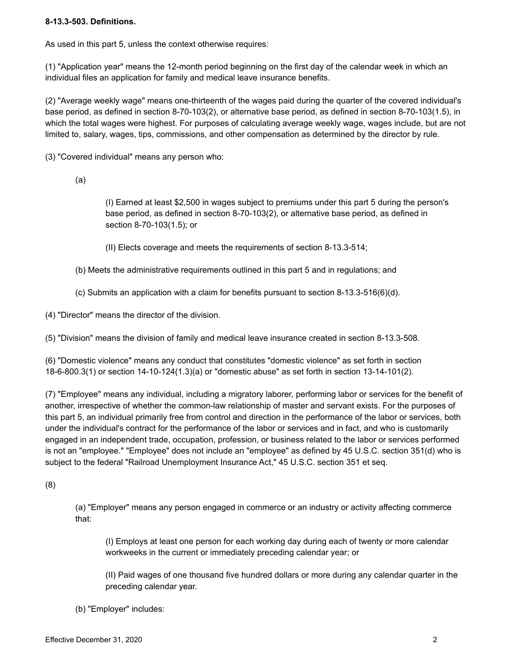# **8-13.3-503. Definitions.**

As used in this part 5, unless the context otherwise requires:

(1) "Application year" means the 12-month period beginning on the first day of the calendar week in which an individual files an application for family and medical leave insurance benefits.

(2) "Average weekly wage" means one-thirteenth of the wages paid during the quarter of the covered individual's base period, as defined in section 8-70-103(2), or alternative base period, as defined in section 8-70-103(1.5), in which the total wages were highest. For purposes of calculating average weekly wage, wages include, but are not limited to, salary, wages, tips, commissions, and other compensation as determined by the director by rule.

(3) "Covered individual" means any person who:

(a)

(I) Earned at least \$2,500 in wages subject to premiums under this part 5 during the person's base period, as defined in section 8-70-103(2), or alternative base period, as defined in section 8-70-103(1.5); or

(II) Elects coverage and meets the requirements of section 8-13.3-514;

- (b) Meets the administrative requirements outlined in this part 5 and in regulations; and
- (c) Submits an application with a claim for benefits pursuant to section 8-13.3-516(6)(d).

(4) "Director" means the director of the division.

(5) "Division" means the division of family and medical leave insurance created in section 8-13.3-508.

(6) "Domestic violence" means any conduct that constitutes "domestic violence" as set forth in section 18-6-800.3(1) or section 14-10-124(1.3)(a) or "domestic abuse" as set forth in section 13-14-101(2).

(7) "Employee" means any individual, including a migratory laborer, performing labor or services for the benefit of another, irrespective of whether the common-law relationship of master and servant exists. For the purposes of this part 5, an individual primarily free from control and direction in the performance of the labor or services, both under the individual's contract for the performance of the labor or services and in fact, and who is customarily engaged in an independent trade, occupation, profession, or business related to the labor or services performed is not an "employee." "Employee" does not include an "employee" as defined by 45 U.S.C. section 351(d) who is subject to the federal "Railroad Unemployment Insurance Act," 45 U.S.C. section 351 et seq.

(8)

(a) "Employer" means any person engaged in commerce or an industry or activity affecting commerce that:

(I) Employs at least one person for each working day during each of twenty or more calendar workweeks in the current or immediately preceding calendar year; or

(II) Paid wages of one thousand five hundred dollars or more during any calendar quarter in the preceding calendar year.

(b) "Employer" includes: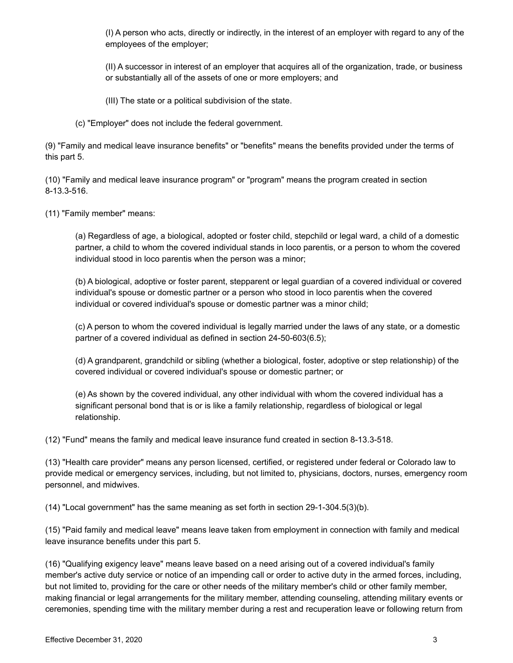(I) A person who acts, directly or indirectly, in the interest of an employer with regard to any of the employees of the employer;

(II) A successor in interest of an employer that acquires all of the organization, trade, or business or substantially all of the assets of one or more employers; and

- (III) The state or a political subdivision of the state.
- (c) "Employer" does not include the federal government.

(9) "Family and medical leave insurance benefits" or "benefits" means the benefits provided under the terms of this part 5.

(10) "Family and medical leave insurance program" or "program" means the program created in section 8-13.3-516.

(11) "Family member" means:

(a) Regardless of age, a biological, adopted or foster child, stepchild or legal ward, a child of a domestic partner, a child to whom the covered individual stands in loco parentis, or a person to whom the covered individual stood in loco parentis when the person was a minor;

(b) A biological, adoptive or foster parent, stepparent or legal guardian of a covered individual or covered individual's spouse or domestic partner or a person who stood in loco parentis when the covered individual or covered individual's spouse or domestic partner was a minor child;

(c) A person to whom the covered individual is legally married under the laws of any state, or a domestic partner of a covered individual as defined in section 24-50-603(6.5);

(d) A grandparent, grandchild or sibling (whether a biological, foster, adoptive or step relationship) of the covered individual or covered individual's spouse or domestic partner; or

(e) As shown by the covered individual, any other individual with whom the covered individual has a significant personal bond that is or is like a family relationship, regardless of biological or legal relationship.

(12) "Fund" means the family and medical leave insurance fund created in section 8-13.3-518.

(13) "Health care provider" means any person licensed, certified, or registered under federal or Colorado law to provide medical or emergency services, including, but not limited to, physicians, doctors, nurses, emergency room personnel, and midwives.

(14) "Local government" has the same meaning as set forth in section 29-1-304.5(3)(b).

(15) "Paid family and medical leave" means leave taken from employment in connection with family and medical leave insurance benefits under this part 5.

(16) "Qualifying exigency leave" means leave based on a need arising out of a covered individual's family member's active duty service or notice of an impending call or order to active duty in the armed forces, including, but not limited to, providing for the care or other needs of the military member's child or other family member, making financial or legal arrangements for the military member, attending counseling, attending military events or ceremonies, spending time with the military member during a rest and recuperation leave or following return from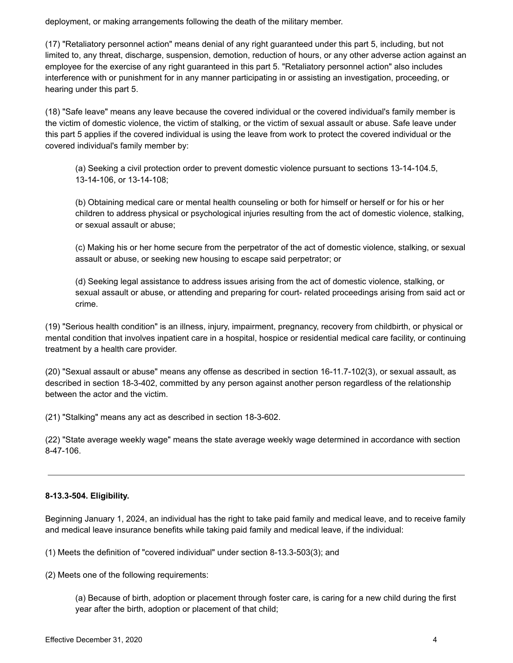deployment, or making arrangements following the death of the military member.

(17) "Retaliatory personnel action" means denial of any right guaranteed under this part 5, including, but not limited to, any threat, discharge, suspension, demotion, reduction of hours, or any other adverse action against an employee for the exercise of any right guaranteed in this part 5. "Retaliatory personnel action" also includes interference with or punishment for in any manner participating in or assisting an investigation, proceeding, or hearing under this part 5.

(18) "Safe leave" means any leave because the covered individual or the covered individual's family member is the victim of domestic violence, the victim of stalking, or the victim of sexual assault or abuse. Safe leave under this part 5 applies if the covered individual is using the leave from work to protect the covered individual or the covered individual's family member by:

(a) Seeking a civil protection order to prevent domestic violence pursuant to sections 13-14-104.5, 13-14-106, or 13-14-108;

(b) Obtaining medical care or mental health counseling or both for himself or herself or for his or her children to address physical or psychological injuries resulting from the act of domestic violence, stalking, or sexual assault or abuse;

(c) Making his or her home secure from the perpetrator of the act of domestic violence, stalking, or sexual assault or abuse, or seeking new housing to escape said perpetrator; or

(d) Seeking legal assistance to address issues arising from the act of domestic violence, stalking, or sexual assault or abuse, or attending and preparing for court- related proceedings arising from said act or crime.

(19) "Serious health condition" is an illness, injury, impairment, pregnancy, recovery from childbirth, or physical or mental condition that involves inpatient care in a hospital, hospice or residential medical care facility, or continuing treatment by a health care provider.

(20) "Sexual assault or abuse" means any offense as described in section 16-11.7-102(3), or sexual assault, as described in section 18-3-402, committed by any person against another person regardless of the relationship between the actor and the victim.

(21) "Stalking" means any act as described in section 18-3-602.

(22) "State average weekly wage" means the state average weekly wage determined in accordance with section 8-47-106.

# **8-13.3-504. Eligibility.**

Beginning January 1, 2024, an individual has the right to take paid family and medical leave, and to receive family and medical leave insurance benefits while taking paid family and medical leave, if the individual:

(1) Meets the definition of "covered individual" under section 8-13.3-503(3); and

(2) Meets one of the following requirements:

(a) Because of birth, adoption or placement through foster care, is caring for a new child during the first year after the birth, adoption or placement of that child;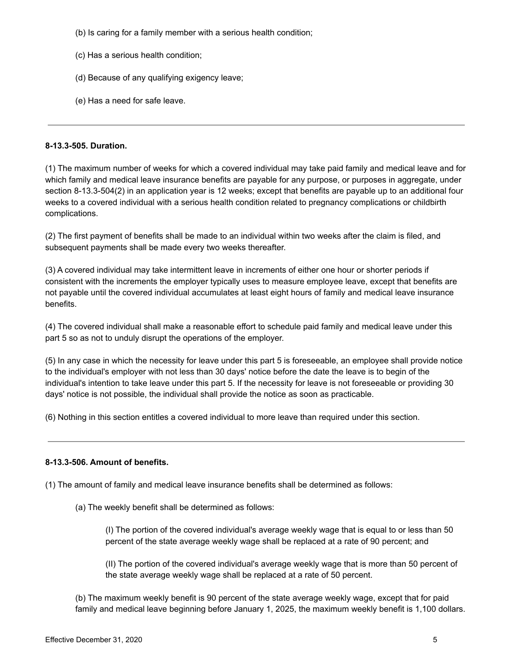- (b) Is caring for a family member with a serious health condition;
- (c) Has a serious health condition;
- (d) Because of any qualifying exigency leave;
- (e) Has a need for safe leave.

#### **8-13.3-505. Duration.**

(1) The maximum number of weeks for which a covered individual may take paid family and medical leave and for which family and medical leave insurance benefits are payable for any purpose, or purposes in aggregate, under section 8-13.3-504(2) in an application year is 12 weeks; except that benefits are payable up to an additional four weeks to a covered individual with a serious health condition related to pregnancy complications or childbirth complications.

(2) The first payment of benefits shall be made to an individual within two weeks after the claim is filed, and subsequent payments shall be made every two weeks thereafter.

(3) A covered individual may take intermittent leave in increments of either one hour or shorter periods if consistent with the increments the employer typically uses to measure employee leave, except that benefits are not payable until the covered individual accumulates at least eight hours of family and medical leave insurance benefits.

(4) The covered individual shall make a reasonable effort to schedule paid family and medical leave under this part 5 so as not to unduly disrupt the operations of the employer.

(5) In any case in which the necessity for leave under this part 5 is foreseeable, an employee shall provide notice to the individual's employer with not less than 30 days' notice before the date the leave is to begin of the individual's intention to take leave under this part 5. If the necessity for leave is not foreseeable or providing 30 days' notice is not possible, the individual shall provide the notice as soon as practicable.

(6) Nothing in this section entitles a covered individual to more leave than required under this section.

# **8-13.3-506. Amount of benefits.**

(1) The amount of family and medical leave insurance benefits shall be determined as follows:

(a) The weekly benefit shall be determined as follows:

(I) The portion of the covered individual's average weekly wage that is equal to or less than 50 percent of the state average weekly wage shall be replaced at a rate of 90 percent; and

(II) The portion of the covered individual's average weekly wage that is more than 50 percent of the state average weekly wage shall be replaced at a rate of 50 percent.

(b) The maximum weekly benefit is 90 percent of the state average weekly wage, except that for paid family and medical leave beginning before January 1, 2025, the maximum weekly benefit is 1,100 dollars.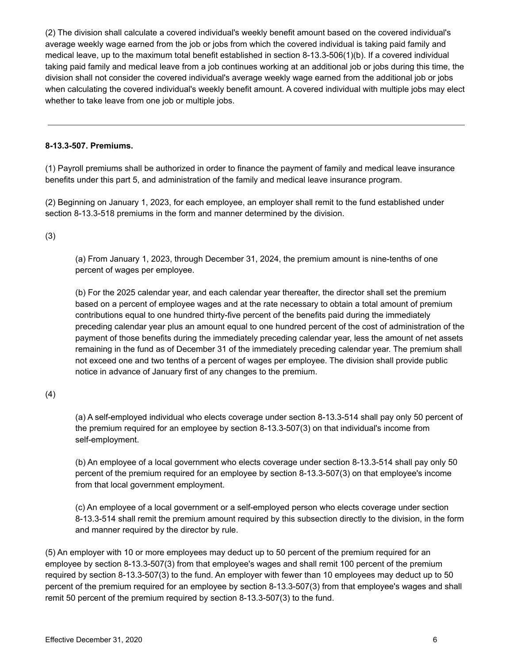(2) The division shall calculate a covered individual's weekly benefit amount based on the covered individual's average weekly wage earned from the job or jobs from which the covered individual is taking paid family and medical leave, up to the maximum total benefit established in section 8-13.3-506(1)(b). If a covered individual taking paid family and medical leave from a job continues working at an additional job or jobs during this time, the division shall not consider the covered individual's average weekly wage earned from the additional job or jobs when calculating the covered individual's weekly benefit amount. A covered individual with multiple jobs may elect whether to take leave from one job or multiple jobs.

## **8-13.3-507. Premiums.**

(1) Payroll premiums shall be authorized in order to finance the payment of family and medical leave insurance benefits under this part 5, and administration of the family and medical leave insurance program.

(2) Beginning on January 1, 2023, for each employee, an employer shall remit to the fund established under section 8-13.3-518 premiums in the form and manner determined by the division.

(3)

(a) From January 1, 2023, through December 31, 2024, the premium amount is nine-tenths of one percent of wages per employee.

(b) For the 2025 calendar year, and each calendar year thereafter, the director shall set the premium based on a percent of employee wages and at the rate necessary to obtain a total amount of premium contributions equal to one hundred thirty-five percent of the benefits paid during the immediately preceding calendar year plus an amount equal to one hundred percent of the cost of administration of the payment of those benefits during the immediately preceding calendar year, less the amount of net assets remaining in the fund as of December 31 of the immediately preceding calendar year. The premium shall not exceed one and two tenths of a percent of wages per employee. The division shall provide public notice in advance of January first of any changes to the premium.

(4)

(a) A self-employed individual who elects coverage under section 8-13.3-514 shall pay only 50 percent of the premium required for an employee by section 8-13.3-507(3) on that individual's income from self-employment.

(b) An employee of a local government who elects coverage under section 8-13.3-514 shall pay only 50 percent of the premium required for an employee by section 8-13.3-507(3) on that employee's income from that local government employment.

(c) An employee of a local government or a self-employed person who elects coverage under section 8-13.3-514 shall remit the premium amount required by this subsection directly to the division, in the form and manner required by the director by rule.

(5) An employer with 10 or more employees may deduct up to 50 percent of the premium required for an employee by section 8-13.3-507(3) from that employee's wages and shall remit 100 percent of the premium required by section 8-13.3-507(3) to the fund. An employer with fewer than 10 employees may deduct up to 50 percent of the premium required for an employee by section 8-13.3-507(3) from that employee's wages and shall remit 50 percent of the premium required by section 8-13.3-507(3) to the fund.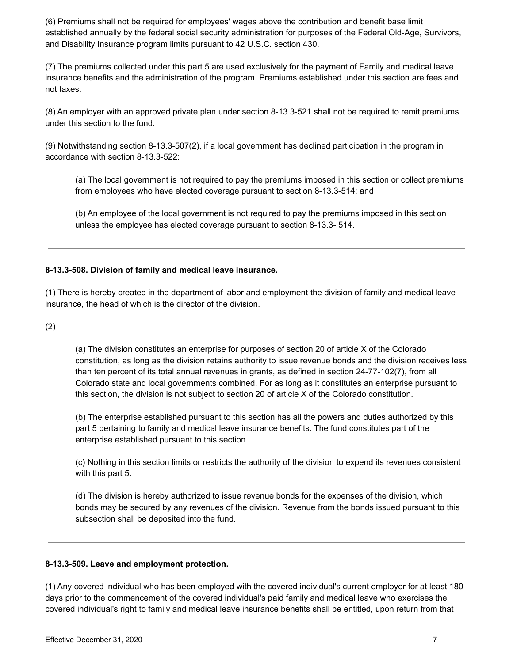(6) Premiums shall not be required for employees' wages above the contribution and benefit base limit established annually by the federal social security administration for purposes of the Federal Old-Age, Survivors, and Disability Insurance program limits pursuant to 42 U.S.C. section 430.

(7) The premiums collected under this part 5 are used exclusively for the payment of Family and medical leave insurance benefits and the administration of the program. Premiums established under this section are fees and not taxes.

(8) An employer with an approved private plan under section 8-13.3-521 shall not be required to remit premiums under this section to the fund.

(9) Notwithstanding section 8-13.3-507(2), if a local government has declined participation in the program in accordance with section 8-13.3-522:

(a) The local government is not required to pay the premiums imposed in this section or collect premiums from employees who have elected coverage pursuant to section 8-13.3-514; and

(b) An employee of the local government is not required to pay the premiums imposed in this section unless the employee has elected coverage pursuant to section 8-13.3- 514.

# **8-13.3-508. Division of family and medical leave insurance.**

(1) There is hereby created in the department of labor and employment the division of family and medical leave insurance, the head of which is the director of the division.

(2)

(a) The division constitutes an enterprise for purposes of section 20 of article X of the Colorado constitution, as long as the division retains authority to issue revenue bonds and the division receives less than ten percent of its total annual revenues in grants, as defined in section 24-77-102(7), from all Colorado state and local governments combined. For as long as it constitutes an enterprise pursuant to this section, the division is not subject to section 20 of article X of the Colorado constitution.

(b) The enterprise established pursuant to this section has all the powers and duties authorized by this part 5 pertaining to family and medical leave insurance benefits. The fund constitutes part of the enterprise established pursuant to this section.

(c) Nothing in this section limits or restricts the authority of the division to expend its revenues consistent with this part 5.

(d) The division is hereby authorized to issue revenue bonds for the expenses of the division, which bonds may be secured by any revenues of the division. Revenue from the bonds issued pursuant to this subsection shall be deposited into the fund.

# **8-13.3-509. Leave and employment protection.**

(1) Any covered individual who has been employed with the covered individual's current employer for at least 180 days prior to the commencement of the covered individual's paid family and medical leave who exercises the covered individual's right to family and medical leave insurance benefits shall be entitled, upon return from that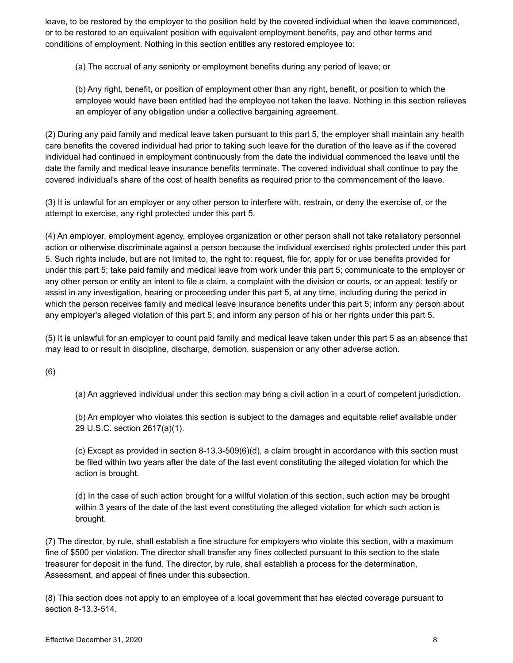leave, to be restored by the employer to the position held by the covered individual when the leave commenced, or to be restored to an equivalent position with equivalent employment benefits, pay and other terms and conditions of employment. Nothing in this section entitles any restored employee to:

(a) The accrual of any seniority or employment benefits during any period of leave; or

(b) Any right, benefit, or position of employment other than any right, benefit, or position to which the employee would have been entitled had the employee not taken the leave. Nothing in this section relieves an employer of any obligation under a collective bargaining agreement.

(2) During any paid family and medical leave taken pursuant to this part 5, the employer shall maintain any health care benefits the covered individual had prior to taking such leave for the duration of the leave as if the covered individual had continued in employment continuously from the date the individual commenced the leave until the date the family and medical leave insurance benefits terminate. The covered individual shall continue to pay the covered individual's share of the cost of health benefits as required prior to the commencement of the leave.

(3) It is unlawful for an employer or any other person to interfere with, restrain, or deny the exercise of, or the attempt to exercise, any right protected under this part 5.

(4) An employer, employment agency, employee organization or other person shall not take retaliatory personnel action or otherwise discriminate against a person because the individual exercised rights protected under this part 5. Such rights include, but are not limited to, the right to: request, file for, apply for or use benefits provided for under this part 5; take paid family and medical leave from work under this part 5; communicate to the employer or any other person or entity an intent to file a claim, a complaint with the division or courts, or an appeal; testify or assist in any investigation, hearing or proceeding under this part 5, at any time, including during the period in which the person receives family and medical leave insurance benefits under this part 5; inform any person about any employer's alleged violation of this part 5; and inform any person of his or her rights under this part 5.

(5) It is unlawful for an employer to count paid family and medical leave taken under this part 5 as an absence that may lead to or result in discipline, discharge, demotion, suspension or any other adverse action.

(6)

(a) An aggrieved individual under this section may bring a civil action in a court of competent jurisdiction.

(b) An employer who violates this section is subject to the damages and equitable relief available under 29 U.S.C. section 2617(a)(1).

(c) Except as provided in section 8-13.3-509(6)(d), a claim brought in accordance with this section must be filed within two years after the date of the last event constituting the alleged violation for which the action is brought.

(d) In the case of such action brought for a willful violation of this section, such action may be brought within 3 years of the date of the last event constituting the alleged violation for which such action is brought.

(7) The director, by rule, shall establish a fine structure for employers who violate this section, with a maximum fine of \$500 per violation. The director shall transfer any fines collected pursuant to this section to the state treasurer for deposit in the fund. The director, by rule, shall establish a process for the determination, Assessment, and appeal of fines under this subsection.

(8) This section does not apply to an employee of a local government that has elected coverage pursuant to section 8-13.3-514.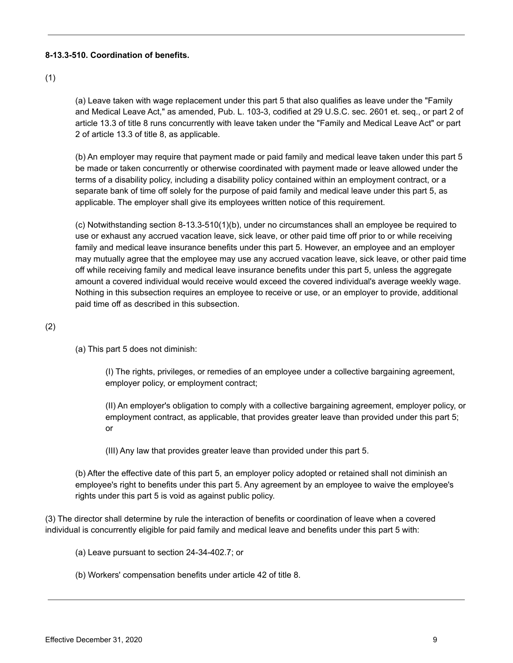# **8-13.3-510. Coordination of benefits.**

# (1)

(a) Leave taken with wage replacement under this part 5 that also qualifies as leave under the "Family and Medical Leave Act," as amended, Pub. L. 103-3, codified at 29 U.S.C. sec. 2601 et. seq., or part 2 of article 13.3 of title 8 runs concurrently with leave taken under the "Family and Medical Leave Act" or part 2 of article 13.3 of title 8, as applicable.

(b) An employer may require that payment made or paid family and medical leave taken under this part 5 be made or taken concurrently or otherwise coordinated with payment made or leave allowed under the terms of a disability policy, including a disability policy contained within an employment contract, or a separate bank of time off solely for the purpose of paid family and medical leave under this part 5, as applicable. The employer shall give its employees written notice of this requirement.

(c) Notwithstanding section 8-13.3-510(1)(b), under no circumstances shall an employee be required to use or exhaust any accrued vacation leave, sick leave, or other paid time off prior to or while receiving family and medical leave insurance benefits under this part 5. However, an employee and an employer may mutually agree that the employee may use any accrued vacation leave, sick leave, or other paid time off while receiving family and medical leave insurance benefits under this part 5, unless the aggregate amount a covered individual would receive would exceed the covered individual's average weekly wage. Nothing in this subsection requires an employee to receive or use, or an employer to provide, additional paid time off as described in this subsection.

# (2)

(a) This part 5 does not diminish:

(I) The rights, privileges, or remedies of an employee under a collective bargaining agreement, employer policy, or employment contract;

(II) An employer's obligation to comply with a collective bargaining agreement, employer policy, or employment contract, as applicable, that provides greater leave than provided under this part 5; or

(III) Any law that provides greater leave than provided under this part 5.

(b) After the effective date of this part 5, an employer policy adopted or retained shall not diminish an employee's right to benefits under this part 5. Any agreement by an employee to waive the employee's rights under this part 5 is void as against public policy.

(3) The director shall determine by rule the interaction of benefits or coordination of leave when a covered individual is concurrently eligible for paid family and medical leave and benefits under this part 5 with:

- (a) Leave pursuant to section 24-34-402.7; or
- (b) Workers' compensation benefits under article 42 of title 8.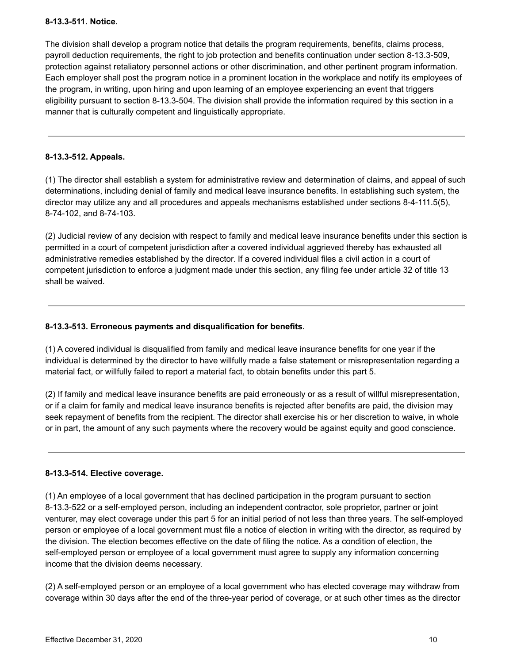## **8-13.3-511. Notice.**

The division shall develop a program notice that details the program requirements, benefits, claims process, payroll deduction requirements, the right to job protection and benefits continuation under section 8-13.3-509, protection against retaliatory personnel actions or other discrimination, and other pertinent program information. Each employer shall post the program notice in a prominent location in the workplace and notify its employees of the program, in writing, upon hiring and upon learning of an employee experiencing an event that triggers eligibility pursuant to section 8-13.3-504. The division shall provide the information required by this section in a manner that is culturally competent and linguistically appropriate.

# **8-13.3-512. Appeals.**

(1) The director shall establish a system for administrative review and determination of claims, and appeal of such determinations, including denial of family and medical leave insurance benefits. In establishing such system, the director may utilize any and all procedures and appeals mechanisms established under sections 8-4-111.5(5), 8-74-102, and 8-74-103.

(2) Judicial review of any decision with respect to family and medical leave insurance benefits under this section is permitted in a court of competent jurisdiction after a covered individual aggrieved thereby has exhausted all administrative remedies established by the director. If a covered individual files a civil action in a court of competent jurisdiction to enforce a judgment made under this section, any filing fee under article 32 of title 13 shall be waived.

## **8-13.3-513. Erroneous payments and disqualification for benefits.**

(1) A covered individual is disqualified from family and medical leave insurance benefits for one year if the individual is determined by the director to have willfully made a false statement or misrepresentation regarding a material fact, or willfully failed to report a material fact, to obtain benefits under this part 5.

(2) If family and medical leave insurance benefits are paid erroneously or as a result of willful misrepresentation, or if a claim for family and medical leave insurance benefits is rejected after benefits are paid, the division may seek repayment of benefits from the recipient. The director shall exercise his or her discretion to waive, in whole or in part, the amount of any such payments where the recovery would be against equity and good conscience.

#### **8-13.3-514. Elective coverage.**

(1) An employee of a local government that has declined participation in the program pursuant to section 8-13.3-522 or a self-employed person, including an independent contractor, sole proprietor, partner or joint venturer, may elect coverage under this part 5 for an initial period of not less than three years. The self-employed person or employee of a local government must file a notice of election in writing with the director, as required by the division. The election becomes effective on the date of filing the notice. As a condition of election, the self-employed person or employee of a local government must agree to supply any information concerning income that the division deems necessary.

(2) A self-employed person or an employee of a local government who has elected coverage may withdraw from coverage within 30 days after the end of the three-year period of coverage, or at such other times as the director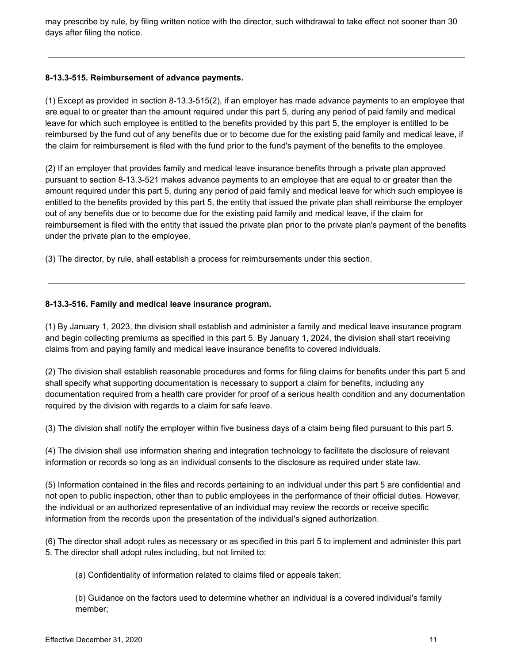may prescribe by rule, by filing written notice with the director, such withdrawal to take effect not sooner than 30 days after filing the notice.

# **8-13.3-515. Reimbursement of advance payments.**

(1) Except as provided in section 8-13.3-515(2), if an employer has made advance payments to an employee that are equal to or greater than the amount required under this part 5, during any period of paid family and medical leave for which such employee is entitled to the benefits provided by this part 5, the employer is entitled to be reimbursed by the fund out of any benefits due or to become due for the existing paid family and medical leave, if the claim for reimbursement is filed with the fund prior to the fund's payment of the benefits to the employee.

(2) If an employer that provides family and medical leave insurance benefits through a private plan approved pursuant to section 8-13.3-521 makes advance payments to an employee that are equal to or greater than the amount required under this part 5, during any period of paid family and medical leave for which such employee is entitled to the benefits provided by this part 5, the entity that issued the private plan shall reimburse the employer out of any benefits due or to become due for the existing paid family and medical leave, if the claim for reimbursement is filed with the entity that issued the private plan prior to the private plan's payment of the benefits under the private plan to the employee.

(3) The director, by rule, shall establish a process for reimbursements under this section.

# **8-13.3-516. Family and medical leave insurance program.**

(1) By January 1, 2023, the division shall establish and administer a family and medical leave insurance program and begin collecting premiums as specified in this part 5. By January 1, 2024, the division shall start receiving claims from and paying family and medical leave insurance benefits to covered individuals.

(2) The division shall establish reasonable procedures and forms for filing claims for benefits under this part 5 and shall specify what supporting documentation is necessary to support a claim for benefits, including any documentation required from a health care provider for proof of a serious health condition and any documentation required by the division with regards to a claim for safe leave.

(3) The division shall notify the employer within five business days of a claim being filed pursuant to this part 5.

(4) The division shall use information sharing and integration technology to facilitate the disclosure of relevant information or records so long as an individual consents to the disclosure as required under state law.

(5) Information contained in the files and records pertaining to an individual under this part 5 are confidential and not open to public inspection, other than to public employees in the performance of their official duties. However, the individual or an authorized representative of an individual may review the records or receive specific information from the records upon the presentation of the individual's signed authorization.

(6) The director shall adopt rules as necessary or as specified in this part 5 to implement and administer this part 5. The director shall adopt rules including, but not limited to:

(a) Confidentiality of information related to claims filed or appeals taken;

(b) Guidance on the factors used to determine whether an individual is a covered individual's family member;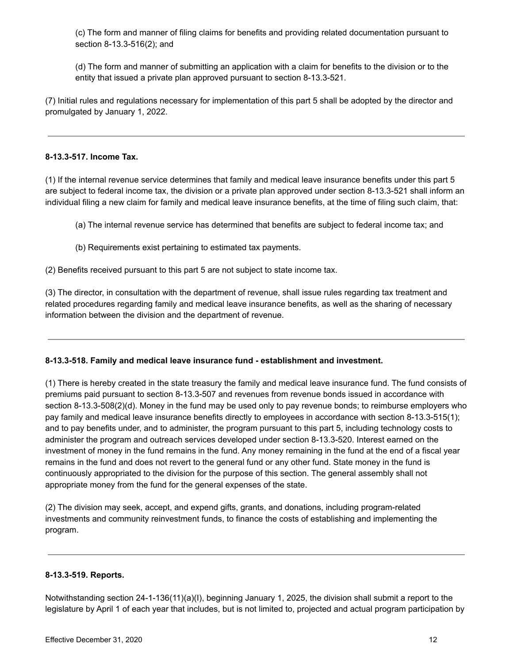(c) The form and manner of filing claims for benefits and providing related documentation pursuant to section 8-13.3-516(2); and

(d) The form and manner of submitting an application with a claim for benefits to the division or to the entity that issued a private plan approved pursuant to section 8-13.3-521.

(7) Initial rules and regulations necessary for implementation of this part 5 shall be adopted by the director and promulgated by January 1, 2022.

## **8-13.3-517. Income Tax.**

(1) If the internal revenue service determines that family and medical leave insurance benefits under this part 5 are subject to federal income tax, the division or a private plan approved under section 8-13.3-521 shall inform an individual filing a new claim for family and medical leave insurance benefits, at the time of filing such claim, that:

- (a) The internal revenue service has determined that benefits are subject to federal income tax; and
- (b) Requirements exist pertaining to estimated tax payments.

(2) Benefits received pursuant to this part 5 are not subject to state income tax.

(3) The director, in consultation with the department of revenue, shall issue rules regarding tax treatment and related procedures regarding family and medical leave insurance benefits, as well as the sharing of necessary information between the division and the department of revenue.

#### **8-13.3-518. Family and medical leave insurance fund - establishment and investment.**

(1) There is hereby created in the state treasury the family and medical leave insurance fund. The fund consists of premiums paid pursuant to section 8-13.3-507 and revenues from revenue bonds issued in accordance with section 8-13.3-508(2)(d). Money in the fund may be used only to pay revenue bonds; to reimburse employers who pay family and medical leave insurance benefits directly to employees in accordance with section 8-13.3-515(1); and to pay benefits under, and to administer, the program pursuant to this part 5, including technology costs to administer the program and outreach services developed under section 8-13.3-520. Interest earned on the investment of money in the fund remains in the fund. Any money remaining in the fund at the end of a fiscal year remains in the fund and does not revert to the general fund or any other fund. State money in the fund is continuously appropriated to the division for the purpose of this section. The general assembly shall not appropriate money from the fund for the general expenses of the state.

(2) The division may seek, accept, and expend gifts, grants, and donations, including program-related investments and community reinvestment funds, to finance the costs of establishing and implementing the program.

#### **8-13.3-519. Reports.**

Notwithstanding section 24-1-136(11)(a)(I), beginning January 1, 2025, the division shall submit a report to the legislature by April 1 of each year that includes, but is not limited to, projected and actual program participation by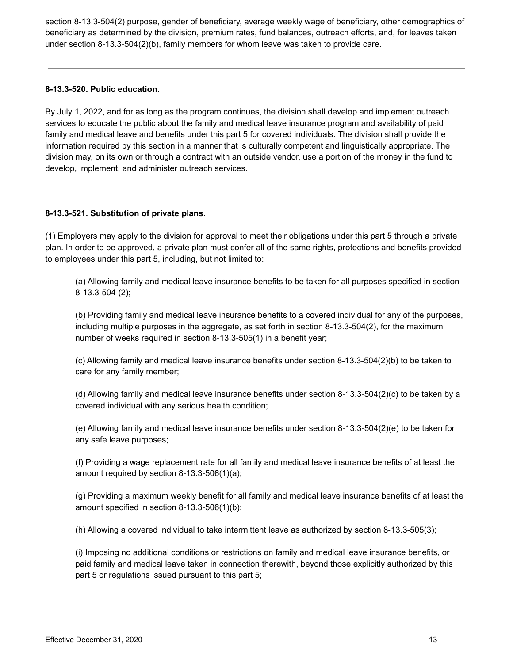section 8-13.3-504(2) purpose, gender of beneficiary, average weekly wage of beneficiary, other demographics of beneficiary as determined by the division, premium rates, fund balances, outreach efforts, and, for leaves taken under section 8-13.3-504(2)(b), family members for whom leave was taken to provide care.

# **8-13.3-520. Public education.**

By July 1, 2022, and for as long as the program continues, the division shall develop and implement outreach services to educate the public about the family and medical leave insurance program and availability of paid family and medical leave and benefits under this part 5 for covered individuals. The division shall provide the information required by this section in a manner that is culturally competent and linguistically appropriate. The division may, on its own or through a contract with an outside vendor, use a portion of the money in the fund to develop, implement, and administer outreach services.

#### **8-13.3-521. Substitution of private plans.**

(1) Employers may apply to the division for approval to meet their obligations under this part 5 through a private plan. In order to be approved, a private plan must confer all of the same rights, protections and benefits provided to employees under this part 5, including, but not limited to:

(a) Allowing family and medical leave insurance benefits to be taken for all purposes specified in section 8-13.3-504 (2);

(b) Providing family and medical leave insurance benefits to a covered individual for any of the purposes, including multiple purposes in the aggregate, as set forth in section 8-13.3-504(2), for the maximum number of weeks required in section 8-13.3-505(1) in a benefit year;

(c) Allowing family and medical leave insurance benefits under section 8-13.3-504(2)(b) to be taken to care for any family member;

(d) Allowing family and medical leave insurance benefits under section 8-13.3-504(2)(c) to be taken by a covered individual with any serious health condition;

(e) Allowing family and medical leave insurance benefits under section 8-13.3-504(2)(e) to be taken for any safe leave purposes;

(f) Providing a wage replacement rate for all family and medical leave insurance benefits of at least the amount required by section 8-13.3-506(1)(a);

(g) Providing a maximum weekly benefit for all family and medical leave insurance benefits of at least the amount specified in section 8-13.3-506(1)(b);

(h) Allowing a covered individual to take intermittent leave as authorized by section 8-13.3-505(3);

(i) Imposing no additional conditions or restrictions on family and medical leave insurance benefits, or paid family and medical leave taken in connection therewith, beyond those explicitly authorized by this part 5 or regulations issued pursuant to this part 5;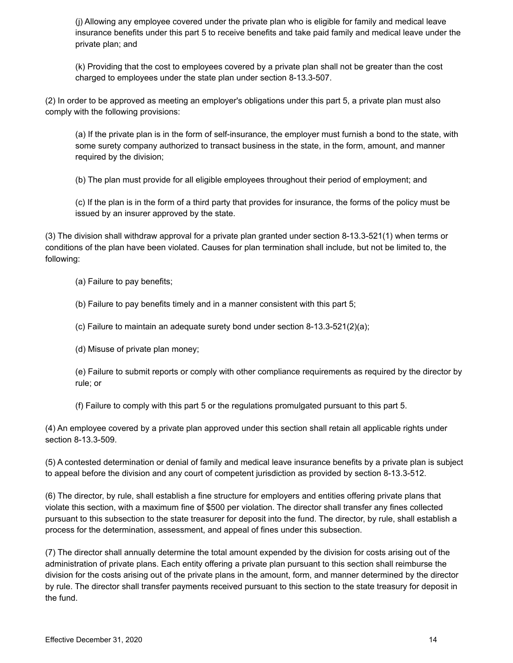(j) Allowing any employee covered under the private plan who is eligible for family and medical leave insurance benefits under this part 5 to receive benefits and take paid family and medical leave under the private plan; and

(k) Providing that the cost to employees covered by a private plan shall not be greater than the cost charged to employees under the state plan under section 8-13.3-507.

(2) In order to be approved as meeting an employer's obligations under this part 5, a private plan must also comply with the following provisions:

(a) If the private plan is in the form of self-insurance, the employer must furnish a bond to the state, with some surety company authorized to transact business in the state, in the form, amount, and manner required by the division;

(b) The plan must provide for all eligible employees throughout their period of employment; and

(c) If the plan is in the form of a third party that provides for insurance, the forms of the policy must be issued by an insurer approved by the state.

(3) The division shall withdraw approval for a private plan granted under section 8-13.3-521(1) when terms or conditions of the plan have been violated. Causes for plan termination shall include, but not be limited to, the following:

(a) Failure to pay benefits;

(b) Failure to pay benefits timely and in a manner consistent with this part 5;

(c) Failure to maintain an adequate surety bond under section 8-13.3-521(2)(a);

(d) Misuse of private plan money;

(e) Failure to submit reports or comply with other compliance requirements as required by the director by rule; or

(f) Failure to comply with this part 5 or the regulations promulgated pursuant to this part 5.

(4) An employee covered by a private plan approved under this section shall retain all applicable rights under section 8-13.3-509.

(5) A contested determination or denial of family and medical leave insurance benefits by a private plan is subject to appeal before the division and any court of competent jurisdiction as provided by section 8-13.3-512.

(6) The director, by rule, shall establish a fine structure for employers and entities offering private plans that violate this section, with a maximum fine of \$500 per violation. The director shall transfer any fines collected pursuant to this subsection to the state treasurer for deposit into the fund. The director, by rule, shall establish a process for the determination, assessment, and appeal of fines under this subsection.

(7) The director shall annually determine the total amount expended by the division for costs arising out of the administration of private plans. Each entity offering a private plan pursuant to this section shall reimburse the division for the costs arising out of the private plans in the amount, form, and manner determined by the director by rule. The director shall transfer payments received pursuant to this section to the state treasury for deposit in the fund.